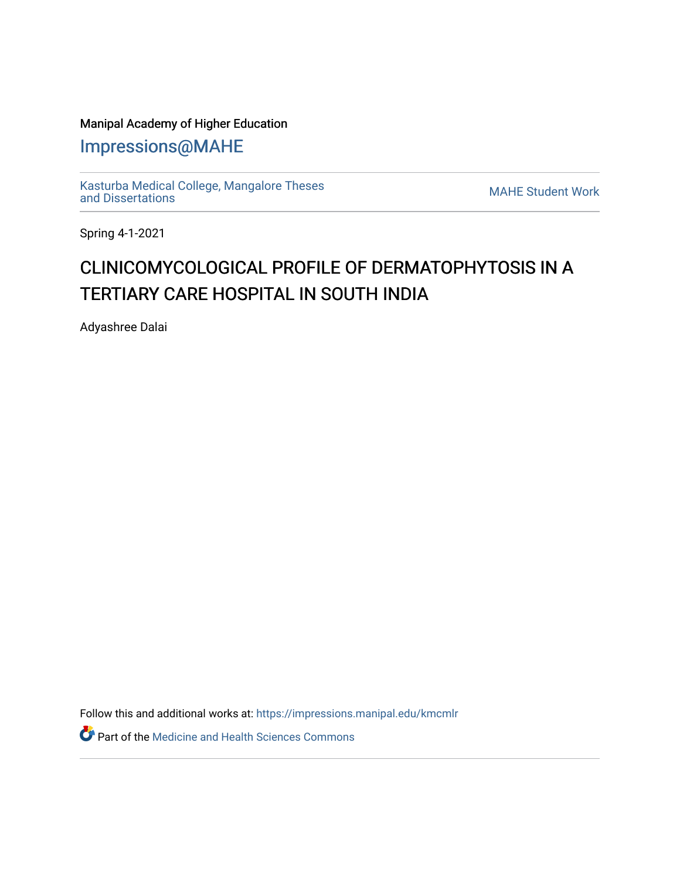## Manipal Academy of Higher Education

[Impressions@MAHE](https://impressions.manipal.edu/)

[Kasturba Medical College, Mangalore Theses](https://impressions.manipal.edu/kmcmlr) [and Dissertations](https://impressions.manipal.edu/kmcmlr) [MAHE Student Work](https://impressions.manipal.edu/student-work) 

Spring 4-1-2021

## CLINICOM Y COLOGICAL PROFILE OF DERMATOPHYTOSIS IN A TERTIARY CARE HOSPITAL IN SOUTH INDIA

Adyashree Dalai

Follow this and additional works at: [https://impressions.manipal.edu/kmcmlr](https://impressions.manipal.edu/kmcmlr?utm_source=impressions.manipal.edu%2Fkmcmlr%2F174&utm_medium=PDF&utm_campaign=PDFCoverPages) 

**Part of the Medicine and Health Sciences Commons**